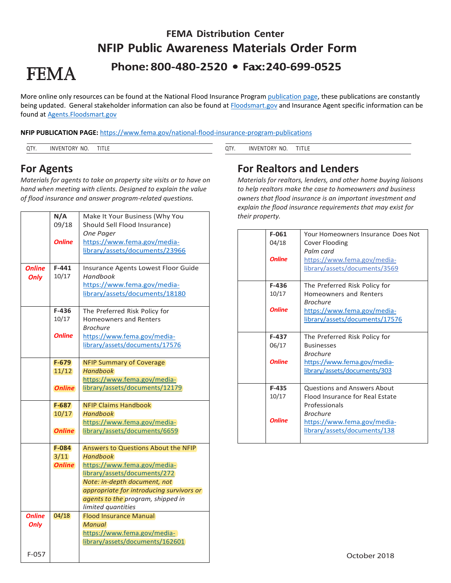# **FEMA Distribution Center NFIP Public Awareness Materials Order Form Phone: 800-480-2520 • Fax: 240-699-0525**

# **FEMA**

More online only resources can be found at the National Flood Insurance Program [publication page,](https://www.fema.gov/national-flood-insurance-program-publications) these publications are constantly being updated. General stakeholder information can also be found at **Floodsmart.gov** and Insurance Agent specific information can be found a[t Agents.Floodsmart.gov](https://agents.floodsmart.gov/) 

#### **NFIP PUBLICATION PAGE:** <https://www.fema.gov/national-flood-insurance-program-publications>

|  |  | INN.<br>۰)R۷<br>N0<br>∿N⊪ | ---<br>. | $\sim$<br>◡ | NC.<br>IN\<br>l ) k | - 19<br>. |
|--|--|---------------------------|----------|-------------|---------------------|-----------|
|--|--|---------------------------|----------|-------------|---------------------|-----------|

### **For Agents**

*Materials for agents to take on property site visits or to have on hand when meeting with clients. Designed to explain the value of flood insurance and answer program-related questions.* 

|               | N/A           | Make It Your Business (Why You           |
|---------------|---------------|------------------------------------------|
|               | 09/18         | Should Sell Flood Insurance)             |
|               |               | <b>One Pager</b>                         |
|               | <b>Online</b> | https://www.fema.gov/media-              |
|               |               | library/assets/documents/23966           |
|               |               |                                          |
| Online        | $F-441$       | Insurance Agents Lowest Floor Guide      |
| <b>Only</b>   | 10/17         | Handbook                                 |
|               |               | https://www.fema.gov/media-              |
|               |               | library/assets/documents/18180           |
|               |               |                                          |
|               | F-436         | The Preferred Risk Policy for            |
|               | 10/17         | <b>Homeowners and Renters</b>            |
|               |               | Brochure                                 |
|               | <b>Online</b> | https://www.fema.gov/media-              |
|               |               | library/assets/documents/17576           |
|               |               |                                          |
|               | $F-679$       | <b>NFIP Summary of Coverage</b>          |
|               | 11/12         | <b>Handbook</b>                          |
|               |               | https://www.fema.gov/media-              |
|               | <b>Online</b> | library/assets/documents/12179           |
|               |               |                                          |
|               | $F-687$       | <b>NFIP Claims Handbook</b>              |
|               | 10/17         | <b>Handbook</b>                          |
|               |               | https://www.fema.gov/media-              |
|               | <b>Online</b> | library/assets/documents/6659            |
|               |               |                                          |
|               | $F-084$       | Answers to Questions About the NFIP      |
|               | 3/11          | <b>Handbook</b>                          |
|               | <b>Online</b> | https://www.fema.gov/media-              |
|               |               | library/assets/documents/272             |
|               |               | Note: in-depth document, not             |
|               |               | appropriate for introducing survivors or |
|               |               | agents to the program, shipped in        |
|               |               | limited quantities                       |
| <b>Online</b> | 04/18         | <b>Flood Insurance Manual</b>            |
| <b>Only</b>   |               | <b>Manual</b>                            |
|               |               | https://www.fema.gov/media-              |
|               |               | library/assets/documents/162601          |
| $F-057$       |               |                                          |
|               |               |                                          |

# **For Realtors and Lenders**

*Materials for realtors, lenders, and other home buying liaisons to help realtors make the case to homeowners and business owners that flood insurance is an important investment and explain the flood insurance requirements that may exist for their property.* 

| $F-061$<br>04/18<br><b>Online</b> | <b>Your Homeowners Insurance Does Not</b><br>Cover Flooding<br>Palm card<br>https://www.fema.gov/media-<br>library/assets/documents/3569                                 |
|-----------------------------------|--------------------------------------------------------------------------------------------------------------------------------------------------------------------------|
| $F-436$<br>10/17<br><b>Online</b> | The Preferred Risk Policy for<br>Homeowners and Renters<br><b>Brochure</b><br>https://www.fema.gov/media-<br>library/assets/documents/17576                              |
| F-437<br>06/17<br><b>Online</b>   | The Preferred Risk Policy for<br><b>Businesses</b><br><b>Brochure</b><br>https://www.fema.gov/media-<br>library/assets/documents/303                                     |
| $F-435$<br>10/17<br><b>Online</b> | <b>Questions and Answers About</b><br>Flood Insurance for Real Estate<br>Professionals<br><b>Brochure</b><br>https://www.fema.gov/media-<br>library/assets/documents/138 |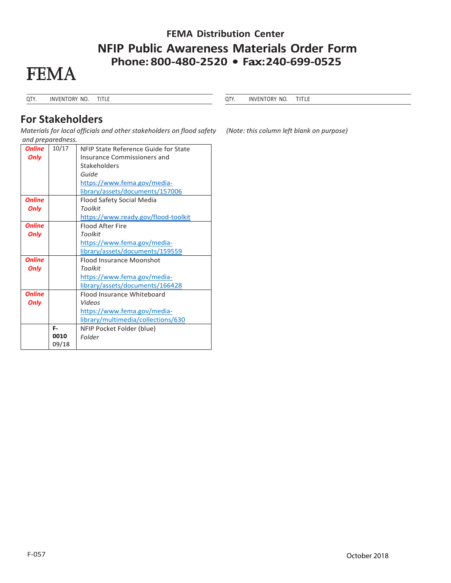# **FEMA Distribution Center NFIP Public Awareness Materials Order Form Phone: 800-480-2520 • Fax: 240-699-0525**



QTY. INVENTORY NO. TITLE

QTY. INVENTORY NO. TITLE

### **For Stakeholders**

*Materials for local officials and other stakeholders on flood safety (Note: this column left blank on purpose) and preparedness.* 

| <b>Online</b> | 10/17 | NFIP State Reference Guide for State |
|---------------|-------|--------------------------------------|
| <b>Only</b>   |       | Insurance Commissioners and          |
|               |       | Stakeholders                         |
|               |       | Guide                                |
|               |       | https://www.fema.gov/media-          |
|               |       | library/assets/documents/157006      |
| <b>Online</b> |       | Flood Safety Social Media            |
| <b>Only</b>   |       | Toolkit                              |
|               |       | https://www.ready.gov/flood-toolkit  |
| <b>Online</b> |       | <b>Flood After Fire</b>              |
| <b>Only</b>   |       | <b>Toolkit</b>                       |
|               |       | https://www.fema.gov/media-          |
|               |       | library/assets/documents/159559      |
| <b>Online</b> |       | <b>Flood Insurance Moonshot</b>      |
| <b>Only</b>   |       | <b>Toolkit</b>                       |
|               |       | https://www.fema.gov/media-          |
|               |       | library/assets/documents/166428      |
| <b>Online</b> |       | Flood Insurance Whiteboard           |
| <b>Only</b>   |       | Videos                               |
|               |       | https://www.fema.gov/media-          |
|               |       | library/multimedia/collections/630   |
|               | F-    | NFIP Pocket Folder (blue)            |
|               | 0010  | Folder                               |
|               | 09/18 |                                      |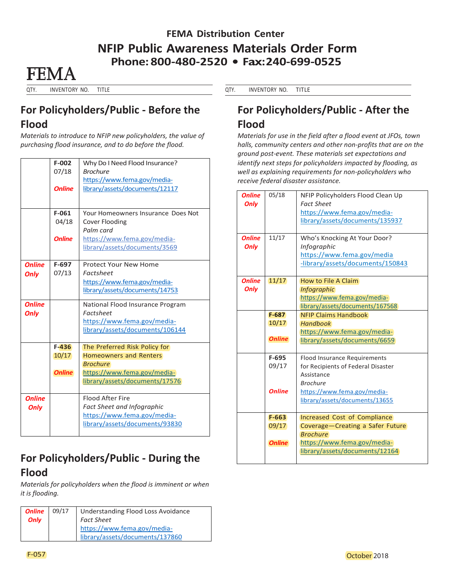# **FEMA Distribution Center NFIP Public Awareness Materials Order Form Phone: 800-480-2520 • Fax: 240-699-0525**

**FFMA** 

QTY. INVENTORY NO. TITLE

## **For Policyholders/Public - Before the Flood**

*Materials to introduce to NFIP new policyholders, the value of purchasing flood insurance, and to do before the flood.* 

|               | $F-002$       | Why Do I Need Flood Insurance?     |
|---------------|---------------|------------------------------------|
|               | 07/18         | <b>Brochure</b>                    |
|               |               | https://www.fema.gov/media-        |
|               | <b>Online</b> | library/assets/documents/12117     |
|               |               |                                    |
|               |               |                                    |
|               | $F-061$       | Your Homeowners Insurance Does Not |
|               | 04/18         | <b>Cover Flooding</b>              |
|               |               | Palm card                          |
|               | <b>Online</b> | https://www.fema.gov/media-        |
|               |               | library/assets/documents/3569      |
|               |               |                                    |
| <b>Online</b> | $F-697$       | Protect Your New Home              |
| <b>Only</b>   | 07/13         | <b>Factsheet</b>                   |
|               |               | https://www.fema.gov/media-        |
|               |               | library/assets/documents/14753     |
|               |               |                                    |
| <b>Online</b> |               | National Flood Insurance Program   |
| <b>Only</b>   |               | <b>Factsheet</b>                   |
|               |               | https://www.fema.gov/media-        |
|               |               | library/assets/documents/106144    |
|               |               |                                    |
|               | $F-436$       | The Preferred Risk Policy for      |
|               | 10/17         | <b>Homeowners and Renters</b>      |
|               |               | <b>Brochure</b>                    |
|               | <b>Online</b> | https://www.fema.gov/media-        |
|               |               | library/assets/documents/17576     |
|               |               |                                    |
| <b>Online</b> |               | <b>Flood After Fire</b>            |
| <b>Only</b>   |               | <b>Fact Sheet and Infographic</b>  |
|               |               | https://www.fema.gov/media-        |
|               |               | library/assets/documents/93830     |
|               |               |                                    |

# **For Policyholders/Public - During the Flood**

*Materials for policyholders when the flood is imminent or when it is flooding.* 

| <b>Online</b> | 09/17 | Understanding Flood Loss Avoidance |
|---------------|-------|------------------------------------|
| Only          |       | <b>Fact Sheet</b>                  |
|               |       | https://www.fema.gov/media-        |
|               |       | library/assets/documents/137860    |

#### QTY. INVENTORY NO. TITLE

# **For Policyholders/Public - After the Flood**

*Materials for use in the field after a flood event at JFOs, town halls, community centers and other non-profits that are on the ground post-event. These materials set expectations and identify next steps for policyholders impacted by flooding, as well as explaining requirements for non-policyholders who receive federal disaster assistance.* 

| <b>Online</b><br><b>Only</b><br><b>Online</b><br>Only | 05/18<br>11/17                      | NFIP Policyholders Flood Clean Up<br><b>Fact Sheet</b><br>https://www.fema.gov/media-<br>library/assets/documents/135937<br>Who's Knocking At Your Door?<br><b>Infographic</b><br>https://www.fema.gov/media<br>-library/assets/documents/150843 |
|-------------------------------------------------------|-------------------------------------|--------------------------------------------------------------------------------------------------------------------------------------------------------------------------------------------------------------------------------------------------|
| <b>Online</b><br><b>Only</b>                          | 11/17                               | How to File A Claim<br><b>Infographic</b><br>https://www.fema.gov/media-<br>library/assets/documents/167568                                                                                                                                      |
|                                                       | $F-687$<br>10/17<br><b>Online</b>   | <b>NFIP Claims Handbook</b><br><b>Handbook</b><br>https://www.fema.gov/media-<br>library/assets/documents/6659                                                                                                                                   |
|                                                       | F-695<br>09/17<br><b>Online</b>     | <b>Flood Insurance Requirements</b><br>for Recipients of Federal Disaster<br>Assistance<br><b>Brochure</b><br>https://www.fema.gov/media-<br>library/assets/documents/13655                                                                      |
|                                                       | $F - 663$<br>09/17<br><b>Online</b> | Increased Cost of Compliance<br>Coverage-Creating a Safer Future<br><b>Brochure</b><br>https://www.fema.gov/media-<br>library/assets/documents/12164                                                                                             |